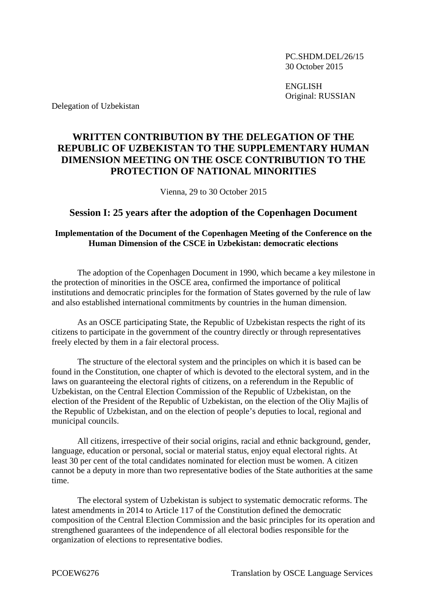PC.SHDM.DEL/26/15 30 October 2015

ENGLISH Original: RUSSIAN

Delegation of Uzbekistan

## **WRITTEN CONTRIBUTION BY THE DELEGATION OF THE REPUBLIC OF UZBEKISTAN TO THE SUPPLEMENTARY HUMAN DIMENSION MEETING ON THE OSCE CONTRIBUTION TO THE PROTECTION OF NATIONAL MINORITIES**

Vienna, 29 to 30 October 2015

## **Session I: 25 years after the adoption of the Copenhagen Document**

## **Implementation of the Document of the Copenhagen Meeting of the Conference on the Human Dimension of the CSCE in Uzbekistan: democratic elections**

The adoption of the Copenhagen Document in 1990, which became a key milestone in the protection of minorities in the OSCE area, confirmed the importance of political institutions and democratic principles for the formation of States governed by the rule of law and also established international commitments by countries in the human dimension.

As an OSCE participating State, the Republic of Uzbekistan respects the right of its citizens to participate in the government of the country directly or through representatives freely elected by them in a fair electoral process.

The structure of the electoral system and the principles on which it is based can be found in the Constitution, one chapter of which is devoted to the electoral system, and in the laws on guaranteeing the electoral rights of citizens, on a referendum in the Republic of Uzbekistan, on the Central Election Commission of the Republic of Uzbekistan, on the election of the President of the Republic of Uzbekistan, on the election of the Oliy Majlis of the Republic of Uzbekistan, and on the election of people's deputies to local, regional and municipal councils.

All citizens, irrespective of their social origins, racial and ethnic background, gender, language, education or personal, social or material status, enjoy equal electoral rights. At least 30 per cent of the total candidates nominated for election must be women. A citizen cannot be a deputy in more than two representative bodies of the State authorities at the same time.

The electoral system of Uzbekistan is subject to systematic democratic reforms. The latest amendments in 2014 to Article 117 of the Constitution defined the democratic composition of the Central Election Commission and the basic principles for its operation and strengthened guarantees of the independence of all electoral bodies responsible for the organization of elections to representative bodies.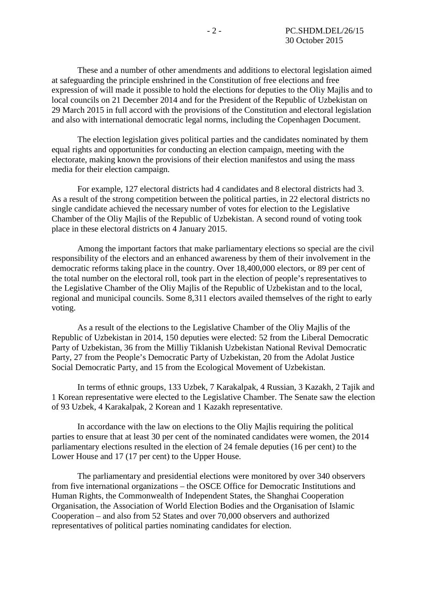These and a number of other amendments and additions to electoral legislation aimed at safeguarding the principle enshrined in the Constitution of free elections and free expression of will made it possible to hold the elections for deputies to the Oliy Majlis and to local councils on 21 December 2014 and for the President of the Republic of Uzbekistan on 29 March 2015 in full accord with the provisions of the Constitution and electoral legislation and also with international democratic legal norms, including the Copenhagen Document.

The election legislation gives political parties and the candidates nominated by them equal rights and opportunities for conducting an election campaign, meeting with the electorate, making known the provisions of their election manifestos and using the mass media for their election campaign.

For example, 127 electoral districts had 4 candidates and 8 electoral districts had 3. As a result of the strong competition between the political parties, in 22 electoral districts no single candidate achieved the necessary number of votes for election to the Legislative Chamber of the Oliy Majlis of the Republic of Uzbekistan. A second round of voting took place in these electoral districts on 4 January 2015.

Among the important factors that make parliamentary elections so special are the civil responsibility of the electors and an enhanced awareness by them of their involvement in the democratic reforms taking place in the country. Over 18,400,000 electors, or 89 per cent of the total number on the electoral roll, took part in the election of people's representatives to the Legislative Chamber of the Oliy Majlis of the Republic of Uzbekistan and to the local, regional and municipal councils. Some 8,311 electors availed themselves of the right to early voting.

As a result of the elections to the Legislative Chamber of the Oliy Majlis of the Republic of Uzbekistan in 2014, 150 deputies were elected: 52 from the Liberal Democratic Party of Uzbekistan, 36 from the Milliy Tiklanish Uzbekistan National Revival Democratic Party, 27 from the People's Democratic Party of Uzbekistan, 20 from the Adolat Justice Social Democratic Party, and 15 from the Ecological Movement of Uzbekistan.

In terms of ethnic groups, 133 Uzbek, 7 Karakalpak, 4 Russian, 3 Kazakh, 2 Tajik and 1 Korean representative were elected to the Legislative Chamber. The Senate saw the election of 93 Uzbek, 4 Karakalpak, 2 Korean and 1 Kazakh representative.

In accordance with the law on elections to the Oliy Majlis requiring the political parties to ensure that at least 30 per cent of the nominated candidates were women, the 2014 parliamentary elections resulted in the election of 24 female deputies (16 per cent) to the Lower House and 17 (17 per cent) to the Upper House.

The parliamentary and presidential elections were monitored by over 340 observers from five international organizations – the OSCE Office for Democratic Institutions and Human Rights, the Commonwealth of Independent States, the Shanghai Cooperation Organisation, the Association of World Election Bodies and the Organisation of Islamic Cooperation – and also from 52 States and over 70,000 observers and authorized representatives of political parties nominating candidates for election.